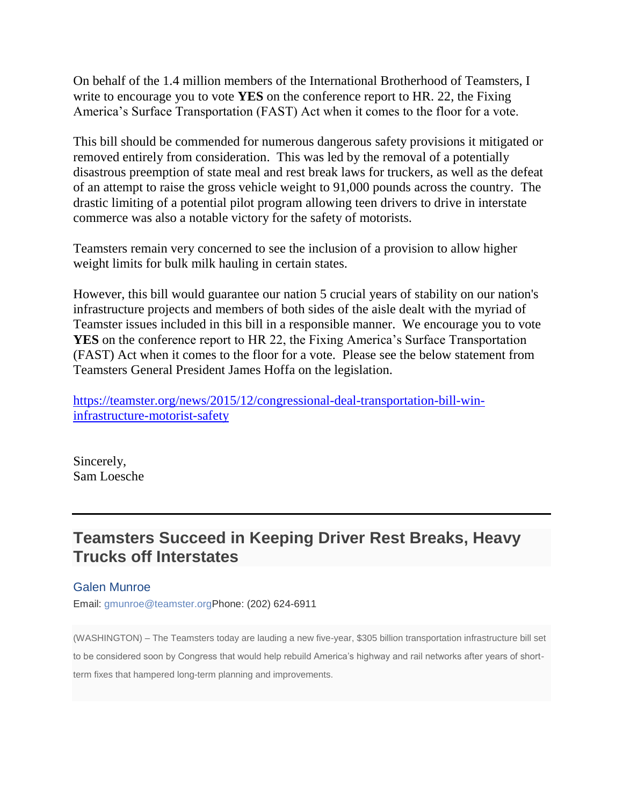On behalf of the 1.4 million members of the International Brotherhood of Teamsters, I write to encourage you to vote **YES** on the conference report to HR. 22, the Fixing America's Surface Transportation (FAST) Act when it comes to the floor for a vote.

This bill should be commended for numerous dangerous safety provisions it mitigated or removed entirely from consideration. This was led by the removal of a potentially disastrous preemption of state meal and rest break laws for truckers, as well as the defeat of an attempt to raise the gross vehicle weight to 91,000 pounds across the country. The drastic limiting of a potential pilot program allowing teen drivers to drive in interstate commerce was also a notable victory for the safety of motorists.

Teamsters remain very concerned to see the inclusion of a provision to allow higher weight limits for bulk milk hauling in certain states.

However, this bill would guarantee our nation 5 crucial years of stability on our nation's infrastructure projects and members of both sides of the aisle dealt with the myriad of Teamster issues included in this bill in a responsible manner. We encourage you to vote **YES** on the conference report to HR 22, the Fixing America's Surface Transportation (FAST) Act when it comes to the floor for a vote. Please see the below statement from Teamsters General President James Hoffa on the legislation.

[https://teamster.org/news/2015/12/congressional-deal-transportation-bill-win](http://capwiz.com/ibt/utr/1/DVOHVQLLUB/AYCWVQLNGT/11085108861)[infrastructure-motorist-safety](http://capwiz.com/ibt/utr/1/DVOHVQLLUB/AYCWVQLNGT/11085108861)

Sincerely, Sam Loesche

## **Teamsters Succeed in Keeping Driver Rest Breaks, Heavy Trucks off Interstates**

## Galen Munroe

Email: [gmunroe@teamster.orgP](mailto:gmunroe@teamster.org)hone: (202) 624-6911

(WASHINGTON) – The Teamsters today are lauding a new five-year, \$305 billion transportation infrastructure bill set to be considered soon by Congress that would help rebuild America's highway and rail networks after years of shortterm fixes that hampered long-term planning and improvements.